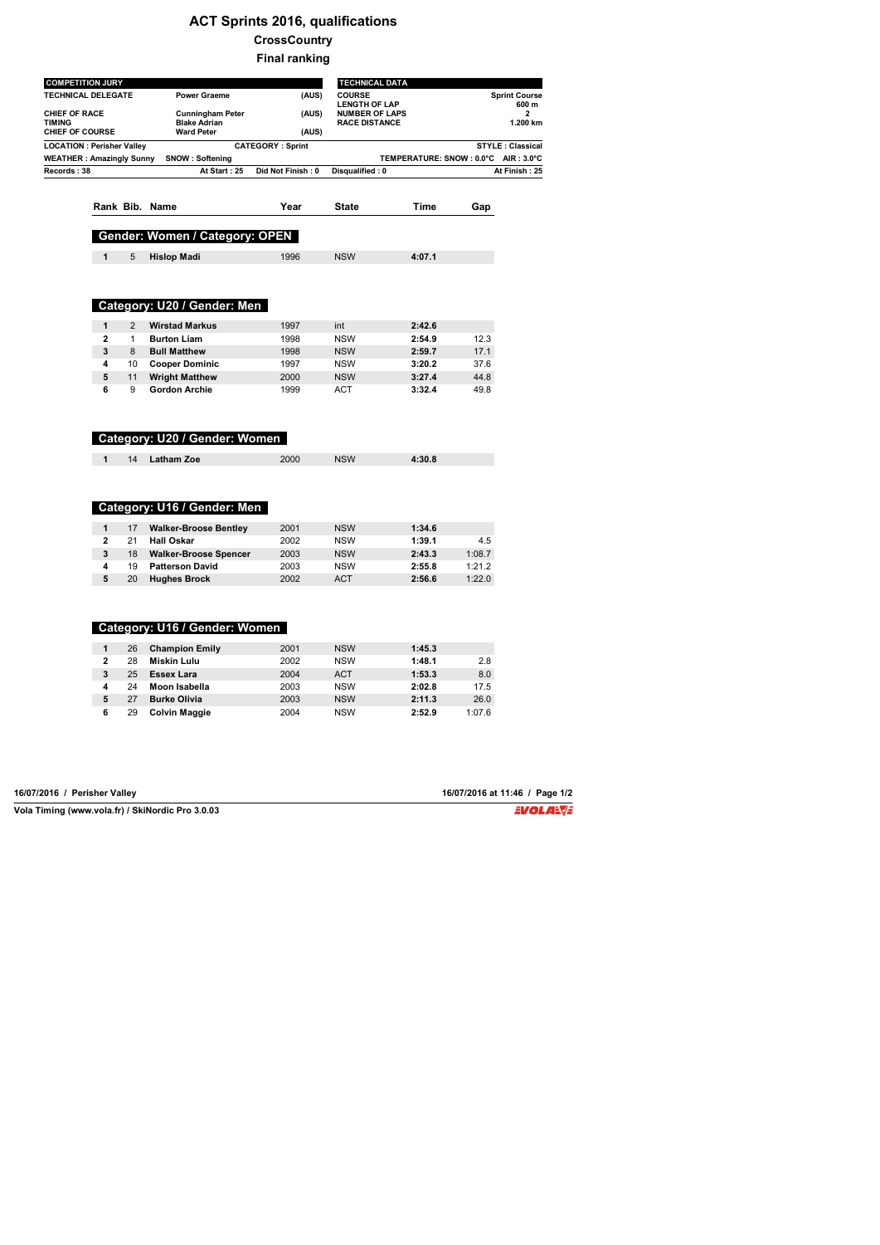## **ACT Sprints 2016, qualifications**

**CrossCountry**

**Final ranking**

| <b>COMPETITION JURY</b>               |                         |                |                                                |                         | <b>TECHNICAL DATA</b>                         |                                       |        |                               |
|---------------------------------------|-------------------------|----------------|------------------------------------------------|-------------------------|-----------------------------------------------|---------------------------------------|--------|-------------------------------|
| <b>TECHNICAL DELEGATE</b>             |                         |                | <b>Power Graeme</b>                            | (AUS)                   | <b>COURSE</b><br><b>LENGTH OF LAP</b>         |                                       |        | <b>Sprint Course</b><br>600 m |
| <b>CHIEF OF RACE</b><br><b>TIMING</b> |                         |                | <b>Cunningham Peter</b><br><b>Blake Adrian</b> | (AUS)                   | <b>NUMBER OF LAPS</b><br><b>RACE DISTANCE</b> |                                       |        | 2<br>1.200 km                 |
| <b>CHIEF OF COURSE</b>                |                         |                | <b>Ward Peter</b>                              | (AUS)                   |                                               |                                       |        |                               |
| <b>LOCATION : Perisher Valley</b>     |                         |                |                                                | <b>CATEGORY: Sprint</b> |                                               |                                       |        | <b>STYLE: Classical</b>       |
| <b>WEATHER: Amazingly Sunny</b>       |                         |                | <b>SNOW: Softening</b>                         |                         |                                               | TEMPERATURE: SNOW : 0.0°C AIR : 3.0°C |        |                               |
| Records: 38                           |                         |                | At Start: 25                                   | Did Not Finish: 0       | Disqualified: 0                               |                                       |        | At Finish: 25                 |
|                                       |                         |                |                                                |                         |                                               |                                       |        |                               |
|                                       |                         |                |                                                |                         |                                               |                                       |        |                               |
|                                       |                         |                | Rank Bib. Name                                 | Year                    | <b>State</b>                                  | Time                                  | Gap    |                               |
|                                       |                         |                | Gender: Women / Category: OPEN                 |                         |                                               |                                       |        |                               |
|                                       | 1                       | 5              | <b>Hislop Madi</b>                             | 1996                    | <b>NSW</b>                                    | 4:07.1                                |        |                               |
|                                       |                         |                |                                                |                         |                                               |                                       |        |                               |
|                                       |                         |                |                                                |                         |                                               |                                       |        |                               |
|                                       |                         |                |                                                |                         |                                               |                                       |        |                               |
|                                       |                         |                | Category: U20 / Gender: Men                    |                         |                                               |                                       |        |                               |
|                                       | 1                       | $\overline{2}$ | <b>Wirstad Markus</b>                          | 1997                    | int                                           | 2:42.6                                |        |                               |
|                                       | $\overline{\mathbf{2}}$ | $\mathbf{1}$   | <b>Burton Liam</b>                             | 1998                    | <b>NSW</b>                                    | 2:54.9                                | 12.3   |                               |
|                                       | 3                       | 8              | <b>Bull Matthew</b>                            | 1998                    | <b>NSW</b>                                    | 2:59.7                                | 17.1   |                               |
|                                       | 4                       | 10             | <b>Cooper Dominic</b>                          | 1997                    | <b>NSW</b>                                    | 3:20.2                                | 37.6   |                               |
|                                       | 5                       | 11             | <b>Wright Matthew</b>                          | 2000                    | <b>NSW</b>                                    | 3:27.4                                | 44.8   |                               |
|                                       | 6                       | 9              | <b>Gordon Archie</b>                           | 1999                    | <b>ACT</b>                                    | 3:32.4                                | 49.8   |                               |
|                                       |                         |                | Category: U20 / Gender: Women                  |                         |                                               |                                       |        |                               |
|                                       | 1                       | 14             | <b>Latham Zoe</b>                              | 2000                    | <b>NSW</b>                                    | 4:30.8                                |        |                               |
|                                       |                         |                | Category: U16 / Gender: Men                    |                         |                                               |                                       |        |                               |
|                                       | $\mathbf{1}$            | 17             | <b>Walker-Broose Bentley</b>                   | 2001                    | <b>NSW</b>                                    | 1:34.6                                |        |                               |
|                                       | $\mathbf{2}$            | 21             | <b>Hall Oskar</b>                              | 2002                    | <b>NSW</b>                                    | 1:39.1                                | 4.5    |                               |
|                                       | 3                       | 18             | <b>Walker-Broose Spencer</b>                   | 2003                    | <b>NSW</b>                                    | 2:43.3                                | 1:08.7 |                               |
|                                       | 4                       | 19             | <b>Patterson David</b>                         | 2003                    | <b>NSW</b>                                    | 2:55.8                                | 1:21.2 |                               |
|                                       | 5                       | 20             | <b>Hughes Brock</b>                            | 2002                    | <b>ACT</b>                                    | 2:56.6                                | 1:22.0 |                               |
|                                       |                         |                |                                                |                         |                                               |                                       |        |                               |
|                                       |                         |                | Category: U16 / Gender: Women                  |                         |                                               |                                       |        |                               |
|                                       | $\mathbf{1}$            | 26             | <b>Champion Emily</b>                          | 2001                    | <b>NSW</b>                                    | 1:45.3                                |        |                               |
|                                       | $\overline{2}$          | 28             | Miskin Lulu                                    | 2002                    | <b>NSW</b>                                    | 1:48.1                                | 2.8    |                               |
|                                       | 3                       | 25             | <b>Essex Lara</b>                              | 2004                    | <b>ACT</b>                                    | 1:53.3                                | 8.0    |                               |
|                                       | 4                       | 24             | Moon Isabella                                  | 2003                    | <b>NSW</b>                                    | 2:02.8                                | 17.5   |                               |
|                                       | 5                       | 27             | <b>Burke Olivia</b>                            | 2003                    | <b>NSW</b>                                    | 2:11.3                                | 26.0   |                               |
|                                       | 6                       | 29             | Colvin Maggie                                  | 2004                    | <b>NSW</b>                                    | 2:52.9                                | 1:07.6 |                               |

| 16/07/2016 / Perisher Valley                     | 16/07/2016 at 11:46 / Page 1/2 |
|--------------------------------------------------|--------------------------------|
| Vola Timing (www.vola.fr) / SkiNordic Pro 3.0.03 | EVOLA <del>N</del> JE          |